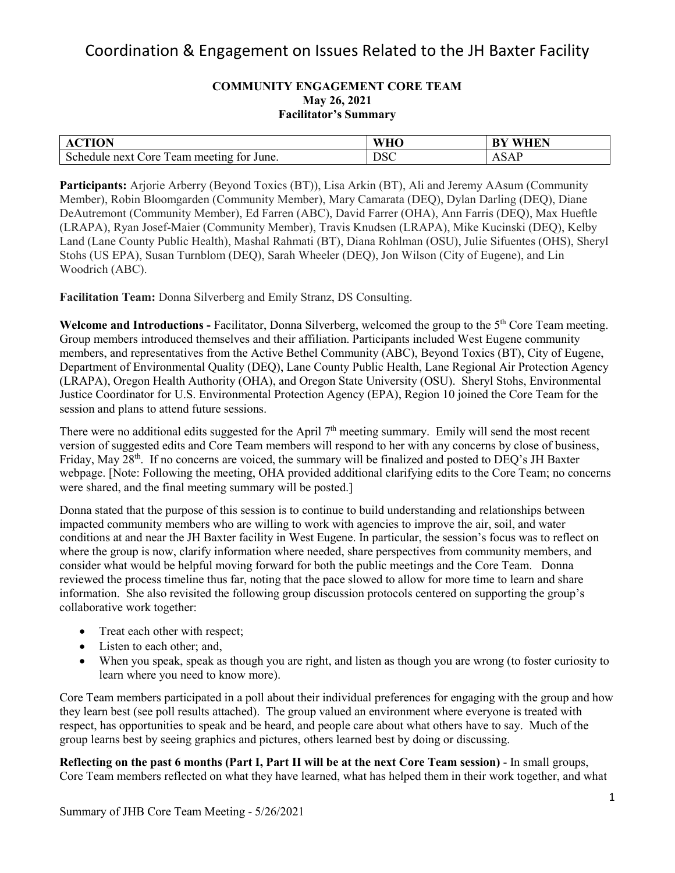#### **COMMUNITY ENGAGEMENT CORE TEAM May 26, 2021 Facilitator's Summary**

| <b>CTION</b>                              | <b>WHO</b> | <b>BY WHEN</b>                                                                  |
|-------------------------------------------|------------|---------------------------------------------------------------------------------|
| Schedule next Core Team meeting for June. | <b>DSC</b> | $\triangle$ $\triangle$ $\triangle$ $\triangle$ $\triangle$ $\triangle$<br>ADAL |

**Participants:** Arjorie Arberry (Beyond Toxics (BT)), Lisa Arkin (BT), Ali and Jeremy AAsum (Community Member), Robin Bloomgarden (Community Member), Mary Camarata (DEQ), Dylan Darling (DEQ), Diane DeAutremont (Community Member), Ed Farren (ABC), David Farrer (OHA), Ann Farris (DEQ), Max Hueftle (LRAPA), Ryan Josef-Maier (Community Member), Travis Knudsen (LRAPA), Mike Kucinski (DEQ), Kelby Land (Lane County Public Health), Mashal Rahmati (BT), Diana Rohlman (OSU), Julie Sifuentes (OHS), Sheryl Stohs (US EPA), Susan Turnblom (DEQ), Sarah Wheeler (DEQ), Jon Wilson (City of Eugene), and Lin Woodrich (ABC).

**Facilitation Team:** Donna Silverberg and Emily Stranz, DS Consulting.

**Welcome and Introductions -** Facilitator, Donna Silverberg, welcomed the group to the 5th Core Team meeting. Group members introduced themselves and their affiliation. Participants included West Eugene community members, and representatives from the Active Bethel Community (ABC), Beyond Toxics (BT), City of Eugene, Department of Environmental Quality (DEQ), Lane County Public Health, Lane Regional Air Protection Agency (LRAPA), Oregon Health Authority (OHA), and Oregon State University (OSU). Sheryl Stohs, Environmental Justice Coordinator for U.S. Environmental Protection Agency (EPA), Region 10 joined the Core Team for the session and plans to attend future sessions.

There were no additional edits suggested for the April 7<sup>th</sup> meeting summary. Emily will send the most recent version of suggested edits and Core Team members will respond to her with any concerns by close of business, Friday, May 28<sup>th</sup>. If no concerns are voiced, the summary will be finalized and posted to DEO's JH Baxter webpage. [Note: Following the meeting, OHA provided additional clarifying edits to the Core Team; no concerns were shared, and the final meeting summary will be posted.]

Donna stated that the purpose of this session is to continue to build understanding and relationships between impacted community members who are willing to work with agencies to improve the air, soil, and water conditions at and near the JH Baxter facility in West Eugene. In particular, the session's focus was to reflect on where the group is now, clarify information where needed, share perspectives from community members, and consider what would be helpful moving forward for both the public meetings and the Core Team. Donna reviewed the process timeline thus far, noting that the pace slowed to allow for more time to learn and share information. She also revisited the following group discussion protocols centered on supporting the group's collaborative work together:

- Treat each other with respect;
- Listen to each other; and,
- When you speak, speak as though you are right, and listen as though you are wrong (to foster curiosity to learn where you need to know more).

Core Team members participated in a poll about their individual preferences for engaging with the group and how they learn best (see poll results attached). The group valued an environment where everyone is treated with respect, has opportunities to speak and be heard, and people care about what others have to say. Much of the group learns best by seeing graphics and pictures, others learned best by doing or discussing.

**Reflecting on the past 6 months (Part I, Part II will be at the next Core Team session)** - In small groups, Core Team members reflected on what they have learned, what has helped them in their work together, and what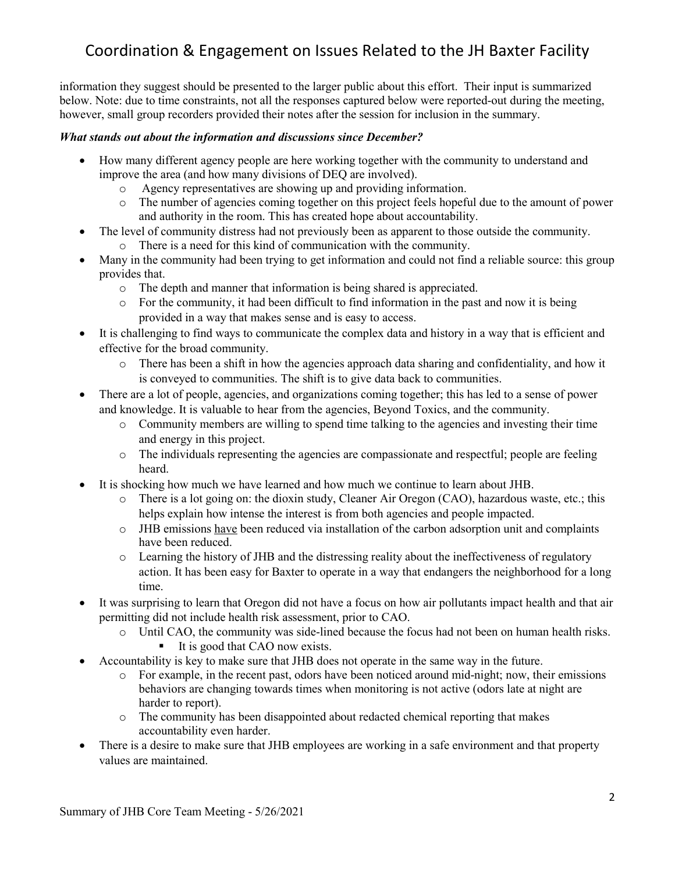information they suggest should be presented to the larger public about this effort. Their input is summarized below. Note: due to time constraints, not all the responses captured below were reported-out during the meeting, however, small group recorders provided their notes after the session for inclusion in the summary.

### *What stands out about the information and discussions since December?*

- How many different agency people are here working together with the community to understand and improve the area (and how many divisions of DEQ are involved).
	- o Agency representatives are showing up and providing information.
	- o The number of agencies coming together on this project feels hopeful due to the amount of power and authority in the room. This has created hope about accountability.
- The level of community distress had not previously been as apparent to those outside the community.
	- o There is a need for this kind of communication with the community.
- Many in the community had been trying to get information and could not find a reliable source: this group provides that.
	- o The depth and manner that information is being shared is appreciated.
	- o For the community, it had been difficult to find information in the past and now it is being provided in a way that makes sense and is easy to access.
- It is challenging to find ways to communicate the complex data and history in a way that is efficient and effective for the broad community.
	- o There has been a shift in how the agencies approach data sharing and confidentiality, and how it is conveyed to communities. The shift is to give data back to communities.
- There are a lot of people, agencies, and organizations coming together; this has led to a sense of power and knowledge. It is valuable to hear from the agencies, Beyond Toxics, and the community.
	- o Community members are willing to spend time talking to the agencies and investing their time and energy in this project.
	- o The individuals representing the agencies are compassionate and respectful; people are feeling heard.
- It is shocking how much we have learned and how much we continue to learn about JHB.
	- o There is a lot going on: the dioxin study, Cleaner Air Oregon (CAO), hazardous waste, etc.; this helps explain how intense the interest is from both agencies and people impacted.
	- o JHB emissions have been reduced via installation of the carbon adsorption unit and complaints have been reduced.
	- o Learning the history of JHB and the distressing reality about the ineffectiveness of regulatory action. It has been easy for Baxter to operate in a way that endangers the neighborhood for a long time.
- It was surprising to learn that Oregon did not have a focus on how air pollutants impact health and that air permitting did not include health risk assessment, prior to CAO.
	- o Until CAO, the community was side-lined because the focus had not been on human health risks.
		- It is good that CAO now exists.
- Accountability is key to make sure that JHB does not operate in the same way in the future.
	- o For example, in the recent past, odors have been noticed around mid-night; now, their emissions behaviors are changing towards times when monitoring is not active (odors late at night are harder to report).
	- o The community has been disappointed about redacted chemical reporting that makes accountability even harder.
- There is a desire to make sure that JHB employees are working in a safe environment and that property values are maintained.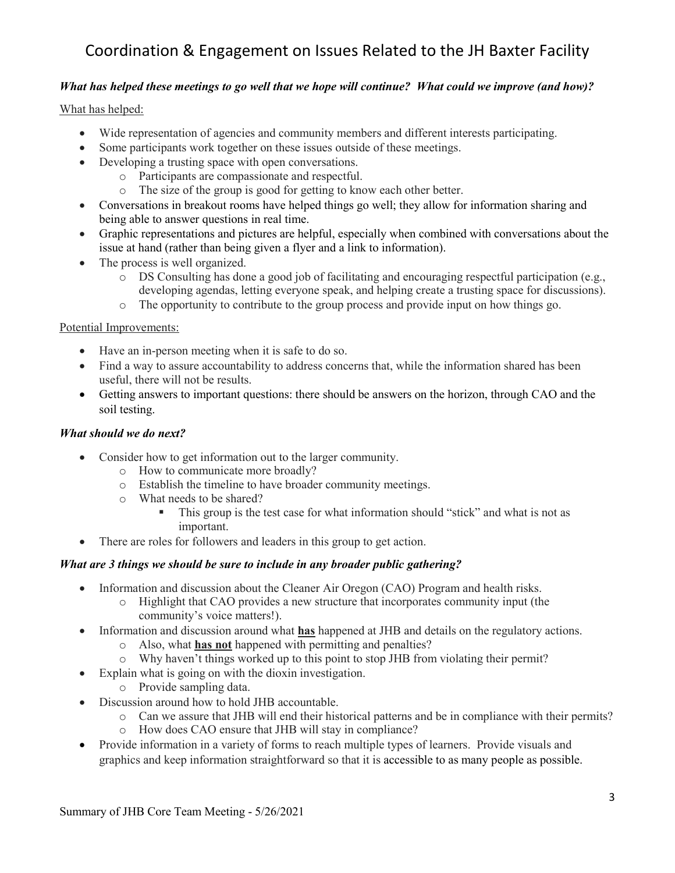### *What has helped these meetings to go well that we hope will continue? What could we improve (and how)?*

What has helped:

- Wide representation of agencies and community members and different interests participating.
- Some participants work together on these issues outside of these meetings.
- Developing a trusting space with open conversations.
	- o Participants are compassionate and respectful.
		- o The size of the group is good for getting to know each other better.
- Conversations in breakout rooms have helped things go well; they allow for information sharing and being able to answer questions in real time.
- Graphic representations and pictures are helpful, especially when combined with conversations about the issue at hand (rather than being given a flyer and a link to information).
- The process is well organized.
	- o DS Consulting has done a good job of facilitating and encouraging respectful participation (e.g., developing agendas, letting everyone speak, and helping create a trusting space for discussions).
	- o The opportunity to contribute to the group process and provide input on how things go.

#### Potential Improvements:

- Have an in-person meeting when it is safe to do so.
- Find a way to assure accountability to address concerns that, while the information shared has been useful, there will not be results.
- Getting answers to important questions: there should be answers on the horizon, through CAO and the soil testing.

#### *What should we do next?*

- Consider how to get information out to the larger community.
	- o How to communicate more broadly?
	- o Establish the timeline to have broader community meetings.
	- $\circ$  What needs to be shared?<br>This group is the 1
		- This group is the test case for what information should "stick" and what is not as important.
- There are roles for followers and leaders in this group to get action.

#### *What are 3 things we should be sure to include in any broader public gathering?*

- Information and discussion about the Cleaner Air Oregon (CAO) Program and health risks.
	- o Highlight that CAO provides a new structure that incorporates community input (the community's voice matters!).
- Information and discussion around what **has** happened at JHB and details on the regulatory actions.
	- o Also, what **has not** happened with permitting and penalties?
	- o Why haven't things worked up to this point to stop JHB from violating their permit?
- Explain what is going on with the dioxin investigation.
	- o Provide sampling data.
- Discussion around how to hold JHB accountable.
	- o Can we assure that JHB will end their historical patterns and be in compliance with their permits?
	- o How does CAO ensure that JHB will stay in compliance?
- Provide information in a variety of forms to reach multiple types of learners. Provide visuals and graphics and keep information straightforward so that it is accessible to as many people as possible.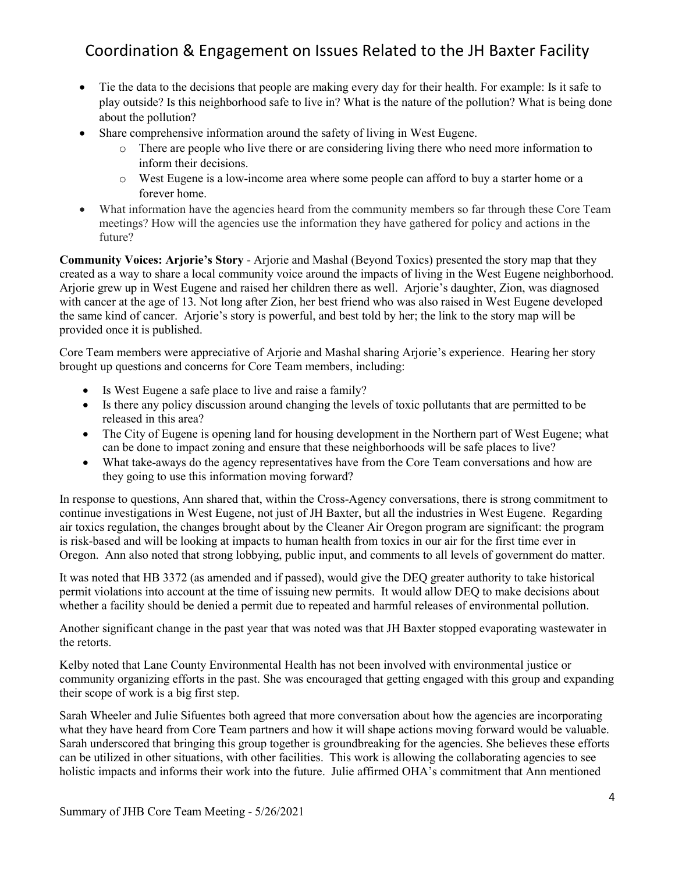- Tie the data to the decisions that people are making every day for their health. For example: Is it safe to play outside? Is this neighborhood safe to live in? What is the nature of the pollution? What is being done about the pollution?
- Share comprehensive information around the safety of living in West Eugene.
	- $\circ$  There are people who live there or are considering living there who need more information to inform their decisions.
	- o West Eugene is a low-income area where some people can afford to buy a starter home or a forever home.
- What information have the agencies heard from the community members so far through these Core Team meetings? How will the agencies use the information they have gathered for policy and actions in the future?

**Community Voices: Arjorie's Story** - Arjorie and Mashal (Beyond Toxics) presented the story map that they created as a way to share a local community voice around the impacts of living in the West Eugene neighborhood. Arjorie grew up in West Eugene and raised her children there as well. Arjorie's daughter, Zion, was diagnosed with cancer at the age of 13. Not long after Zion, her best friend who was also raised in West Eugene developed the same kind of cancer. Arjorie's story is powerful, and best told by her; the link to the story map will be provided once it is published.

Core Team members were appreciative of Arjorie and Mashal sharing Arjorie's experience. Hearing her story brought up questions and concerns for Core Team members, including:

- Is West Eugene a safe place to live and raise a family?
- Is there any policy discussion around changing the levels of toxic pollutants that are permitted to be released in this area?
- The City of Eugene is opening land for housing development in the Northern part of West Eugene; what can be done to impact zoning and ensure that these neighborhoods will be safe places to live?
- What take-aways do the agency representatives have from the Core Team conversations and how are they going to use this information moving forward?

In response to questions, Ann shared that, within the Cross-Agency conversations, there is strong commitment to continue investigations in West Eugene, not just of JH Baxter, but all the industries in West Eugene. Regarding air toxics regulation, the changes brought about by the Cleaner Air Oregon program are significant: the program is risk-based and will be looking at impacts to human health from toxics in our air for the first time ever in Oregon. Ann also noted that strong lobbying, public input, and comments to all levels of government do matter.

It was noted that HB 3372 (as amended and if passed), would give the DEQ greater authority to take historical permit violations into account at the time of issuing new permits. It would allow DEQ to make decisions about whether a facility should be denied a permit due to repeated and harmful releases of environmental pollution.

Another significant change in the past year that was noted was that JH Baxter stopped evaporating wastewater in the retorts.

Kelby noted that Lane County Environmental Health has not been involved with environmental justice or community organizing efforts in the past. She was encouraged that getting engaged with this group and expanding their scope of work is a big first step.

Sarah Wheeler and Julie Sifuentes both agreed that more conversation about how the agencies are incorporating what they have heard from Core Team partners and how it will shape actions moving forward would be valuable. Sarah underscored that bringing this group together is groundbreaking for the agencies. She believes these efforts can be utilized in other situations, with other facilities. This work is allowing the collaborating agencies to see holistic impacts and informs their work into the future. Julie affirmed OHA's commitment that Ann mentioned